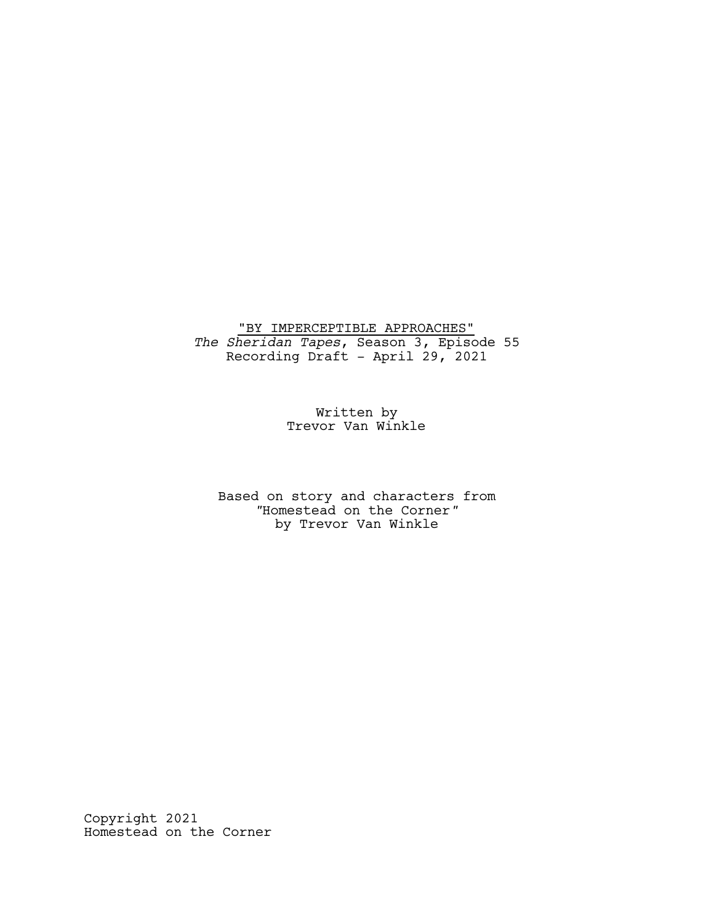"BY IMPERCEPTIBLE APPROACHES" *The Sheridan Tapes*, Season 3, Episode 55 Recording Draft - April 29, 2021

> Written by Trevor Van Winkle

Based on story and characters from *"*Homestead on the Corner*"* by Trevor Van Winkle

Copyright 2021 Homestead on the Corner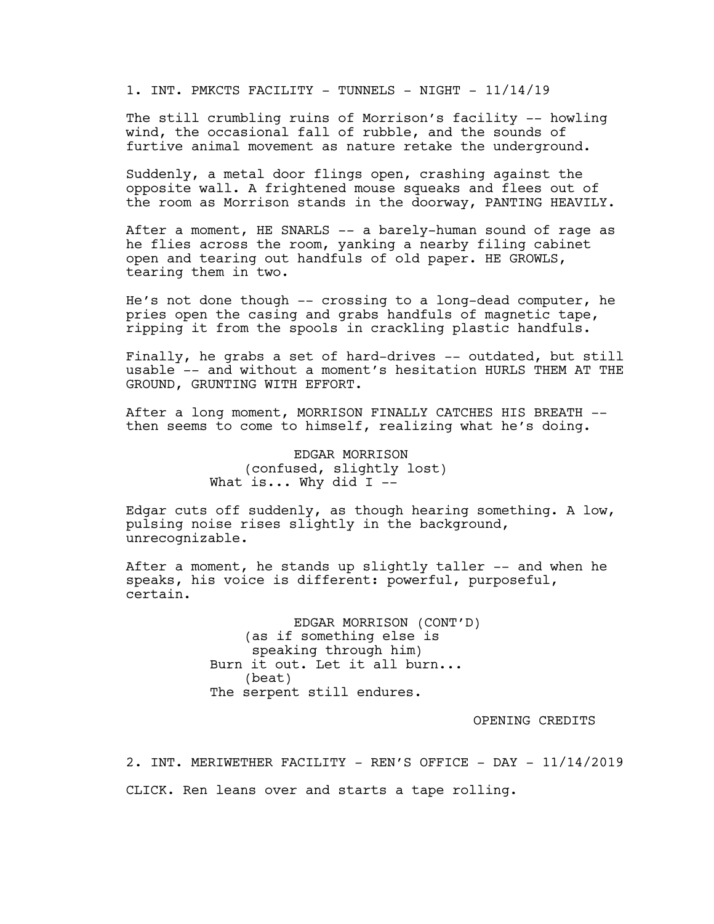1. INT. PMKCTS FACILITY - TUNNELS - NIGHT - 11/14/19

The still crumbling ruins of Morrison's facility -- howling wind, the occasional fall of rubble, and the sounds of furtive animal movement as nature retake the underground.

Suddenly, a metal door flings open, crashing against the opposite wall. A frightened mouse squeaks and flees out of the room as Morrison stands in the doorway, PANTING HEAVILY.

After a moment, HE SNARLS -- a barely-human sound of rage as he flies across the room, yanking a nearby filing cabinet open and tearing out handfuls of old paper. HE GROWLS, tearing them in two.

He's not done though -- crossing to a long-dead computer, he pries open the casing and grabs handfuls of magnetic tape, ripping it from the spools in crackling plastic handfuls.

Finally, he grabs a set of hard-drives -- outdated, but still usable -- and without a moment's hesitation HURLS THEM AT THE GROUND, GRUNTING WITH EFFORT.

After a long moment, MORRISON FINALLY CATCHES HIS BREATH - then seems to come to himself, realizing what he's doing.

> EDGAR MORRISON (confused, slightly lost) What is... Why did  $I$  --

Edgar cuts off suddenly, as though hearing something. A low, pulsing noise rises slightly in the background, unrecognizable.

After a moment, he stands up slightly taller -- and when he speaks, his voice is different: powerful, purposeful, certain.

> EDGAR MORRISON (CONT'D) (as if something else is speaking through him) Burn it out. Let it all burn... (beat) The serpent still endures.

> > OPENING CREDITS

2. INT. MERIWETHER FACILITY - REN'S OFFICE - DAY - 11/14/2019 CLICK. Ren leans over and starts a tape rolling.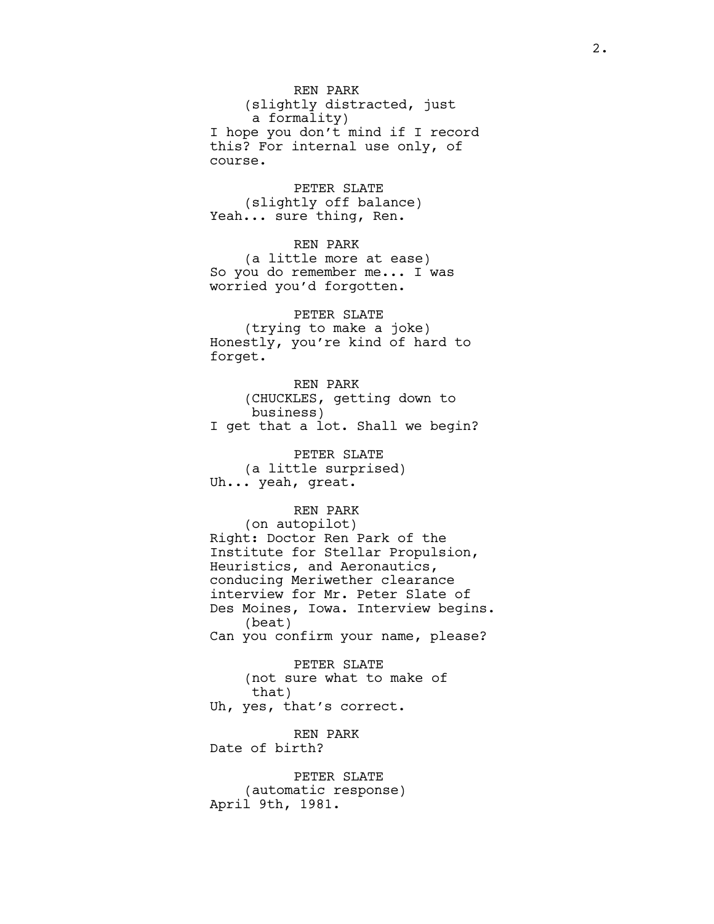REN PARK (slightly distracted, just a formality) I hope you don't mind if I record this? For internal use only, of course.

PETER SLATE (slightly off balance) Yeah... sure thing, Ren.

REN PARK (a little more at ease) So you do remember me... I was worried you'd forgotten.

PETER SLATE (trying to make a joke) Honestly, you're kind of hard to forget.

REN PARK (CHUCKLES, getting down to business) I get that a lot. Shall we begin?

PETER SLATE (a little surprised) Uh... yeah, great.

## REN PARK

(on autopilot) Right: Doctor Ren Park of the Institute for Stellar Propulsion, Heuristics, and Aeronautics, conducing Meriwether clearance interview for Mr. Peter Slate of Des Moines, Iowa. Interview begins. (beat) Can you confirm your name, please?

PETER SLATE (not sure what to make of that) Uh, yes, that's correct.

REN PARK Date of birth?

PETER SLATE (automatic response) April 9th, 1981.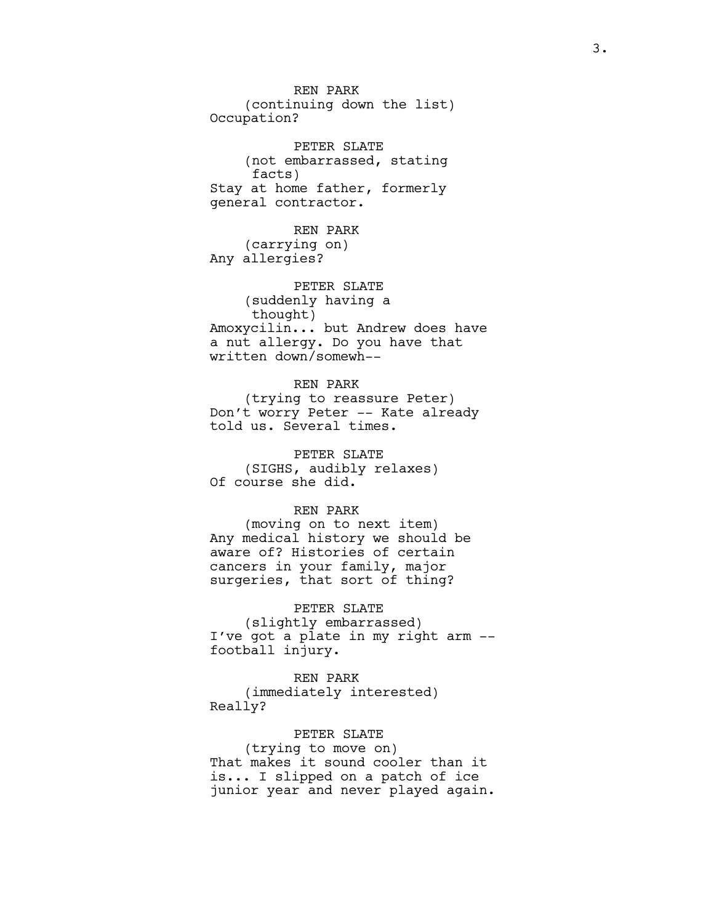REN PARK (continuing down the list) Occupation?

PETER SLATE (not embarrassed, stating facts) Stay at home father, formerly general contractor.

REN PARK (carrying on) Any allergies?

PETER SLATE (suddenly having a thought) Amoxycilin... but Andrew does have a nut allergy. Do you have that written down/somewh--

## REN PARK

(trying to reassure Peter) Don't worry Peter -- Kate already told us. Several times.

PETER SLATE (SIGHS, audibly relaxes) Of course she did.

# REN PARK

(moving on to next item) Any medical history we should be aware of? Histories of certain cancers in your family, major surgeries, that sort of thing?

PETER SLATE (slightly embarrassed) I've got a plate in my right arm - football injury.

REN PARK (immediately interested) Really?

# PETER SLATE

(trying to move on) That makes it sound cooler than it is... I slipped on a patch of ice junior year and never played again.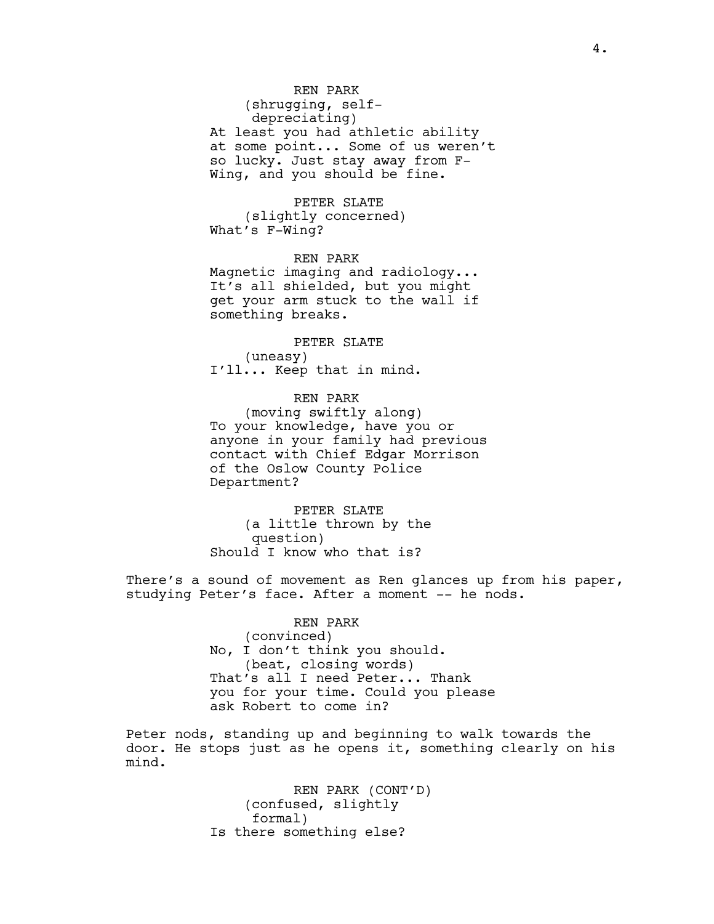REN PARK (shrugging, selfdepreciating) At least you had athletic ability at some point... Some of us weren't so lucky. Just stay away from F-Wing, and you should be fine.

PETER SLATE (slightly concerned) What's F-Wing?

REN PARK Magnetic imaging and radiology... It's all shielded, but you might get your arm stuck to the wall if something breaks.

PETER SLATE (uneasy) I'll... Keep that in mind.

REN PARK (moving swiftly along) To your knowledge, have you or anyone in your family had previous contact with Chief Edgar Morrison of the Oslow County Police Department?

PETER SLATE (a little thrown by the question) Should I know who that is?

There's a sound of movement as Ren glances up from his paper, studying Peter's face. After a moment -- he nods.

> REN PARK (convinced) No, I don't think you should. (beat, closing words) That's all I need Peter... Thank you for your time. Could you please ask Robert to come in?

Peter nods, standing up and beginning to walk towards the door. He stops just as he opens it, something clearly on his mind.

> REN PARK (CONT'D) (confused, slightly formal) Is there something else?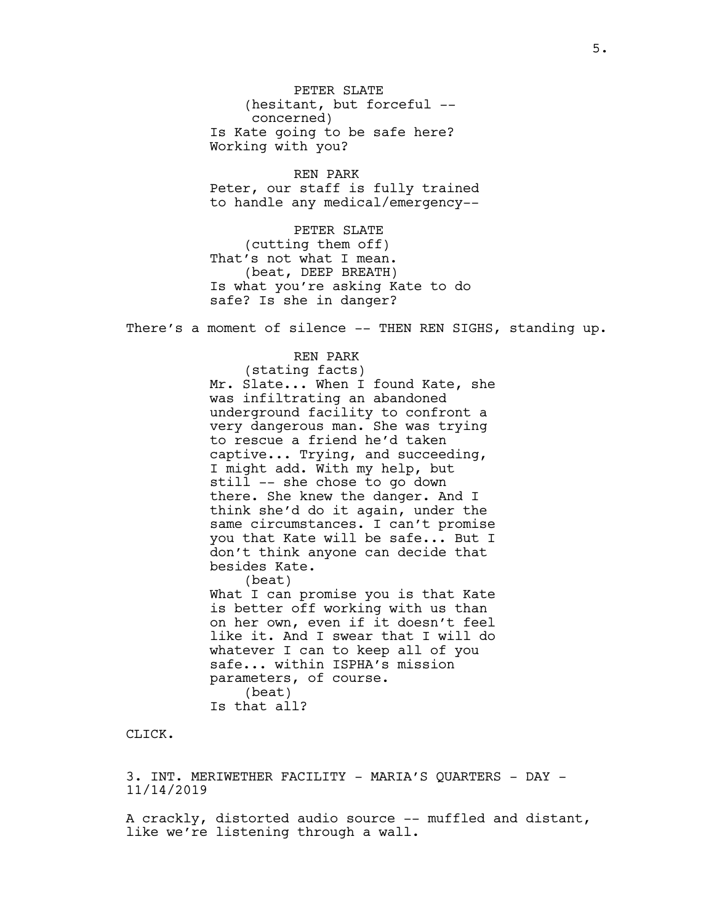PETER SLATE (hesitant, but forceful - concerned) Is Kate going to be safe here? Working with you?

REN PARK Peter, our staff is fully trained to handle any medical/emergency--

PETER SLATE (cutting them off) That's not what I mean. (beat, DEEP BREATH) Is what you're asking Kate to do safe? Is she in danger?

There's a moment of silence -- THEN REN SIGHS, standing up.

REN PARK (stating facts) Mr. Slate... When I found Kate, she was infiltrating an abandoned underground facility to confront a very dangerous man. She was trying to rescue a friend he'd taken captive... Trying, and succeeding, I might add. With my help, but still -- she chose to go down there. She knew the danger. And I think she'd do it again, under the same circumstances. I can't promise you that Kate will be safe... But I don't think anyone can decide that besides Kate. (beat) What I can promise you is that Kate is better off working with us than on her own, even if it doesn't feel like it. And I swear that I will do whatever I can to keep all of you safe... within ISPHA's mission parameters, of course.

CLICK.

3. INT. MERIWETHER FACILITY - MARIA'S QUARTERS - DAY -11/14/2019

(beat) Is that all?

A crackly, distorted audio source -- muffled and distant, like we're listening through a wall.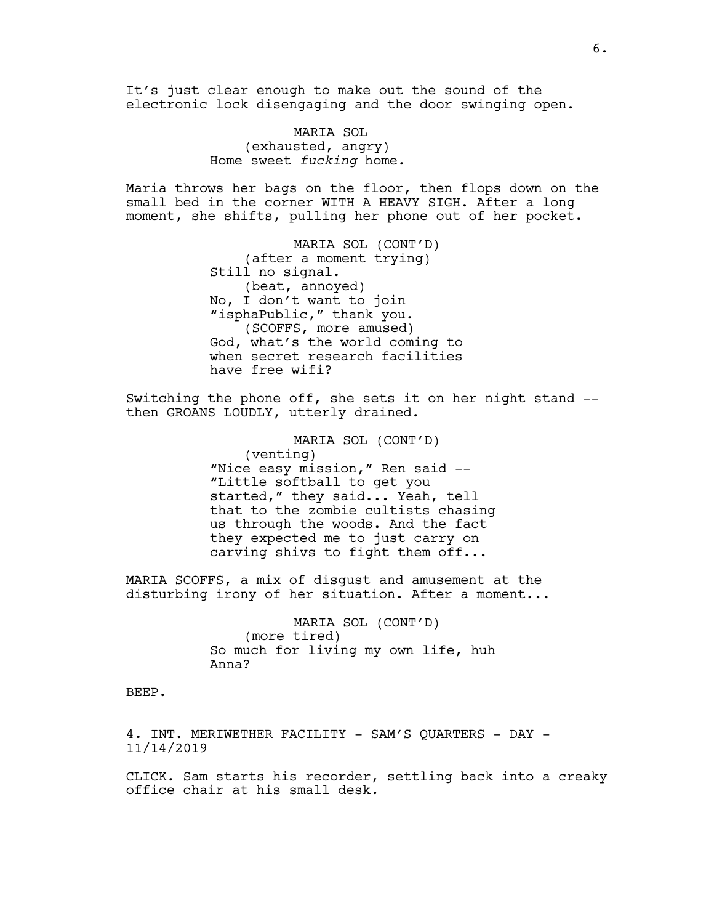It's just clear enough to make out the sound of the electronic lock disengaging and the door swinging open.

> MARIA SOL (exhausted, angry) Home sweet *fucking* home.

Maria throws her bags on the floor, then flops down on the small bed in the corner WITH A HEAVY SIGH. After a long moment, she shifts, pulling her phone out of her pocket.

> MARIA SOL (CONT'D) (after a moment trying) Still no signal. (beat, annoyed) No, I don't want to join "isphaPublic," thank you. (SCOFFS, more amused) God, what's the world coming to when secret research facilities have free wifi?

Switching the phone off, she sets it on her night stand - then GROANS LOUDLY, utterly drained.

```
MARIA SOL (CONT'D)
    (venting)
"Nice easy mission," Ren said --
"Little softball to get you
started," they said... Yeah, tell
that to the zombie cultists chasing
us through the woods. And the fact
they expected me to just carry on
carving shivs to fight them off...
```
MARIA SCOFFS, a mix of disgust and amusement at the disturbing irony of her situation. After a moment...

> MARIA SOL (CONT'D) (more tired) So much for living my own life, huh Anna?

BEEP.

4. INT. MERIWETHER FACILITY - SAM'S QUARTERS - DAY -11/14/2019

CLICK. Sam starts his recorder, settling back into a creaky office chair at his small desk.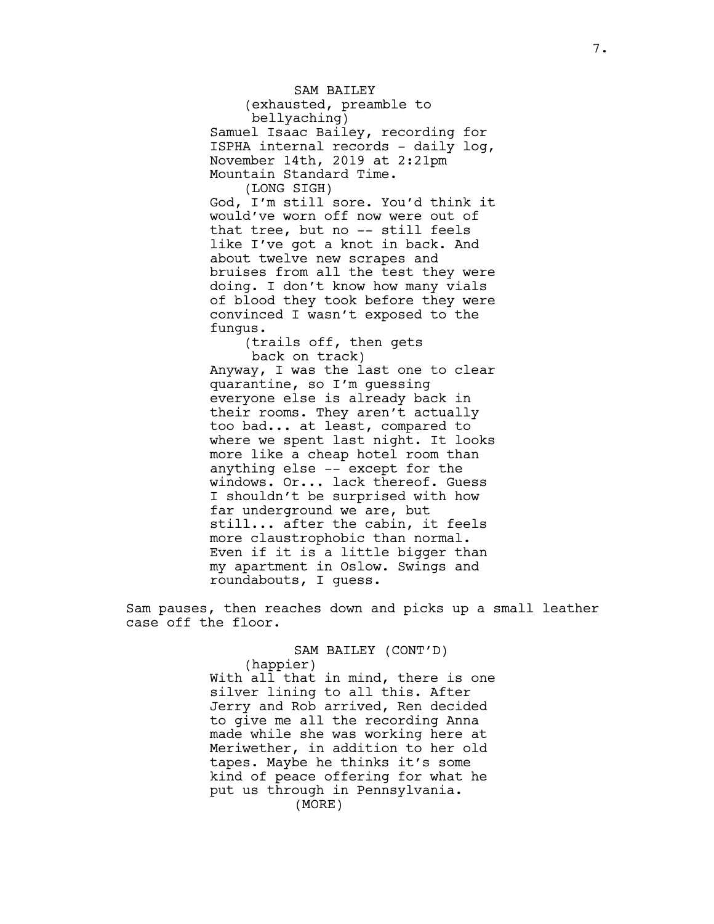SAM BAILEY (exhausted, preamble to bellyaching) Samuel Isaac Bailey, recording for ISPHA internal records - daily log, November 14th, 2019 at 2:21pm Mountain Standard Time. (LONG SIGH) God, I'm still sore. You'd think it would've worn off now were out of that tree, but no -- still feels like I've got a knot in back. And about twelve new scrapes and bruises from all the test they were doing. I don't know how many vials of blood they took before they were convinced I wasn't exposed to the fungus.

(trails off, then gets back on track)

Anyway, I was the last one to clear quarantine, so I'm guessing everyone else is already back in their rooms. They aren't actually too bad... at least, compared to where we spent last night. It looks more like a cheap hotel room than anything else -- except for the windows. Or... lack thereof. Guess I shouldn't be surprised with how far underground we are, but still... after the cabin, it feels more claustrophobic than normal. Even if it is a little bigger than my apartment in Oslow. Swings and roundabouts, I guess.

Sam pauses, then reaches down and picks up a small leather case off the floor.

> SAM BAILEY (CONT'D) (happier) With all that in mind, there is one silver lining to all this. After Jerry and Rob arrived, Ren decided to give me all the recording Anna made while she was working here at Meriwether, in addition to her old tapes. Maybe he thinks it's some kind of peace offering for what he put us through in Pennsylvania. (MORE)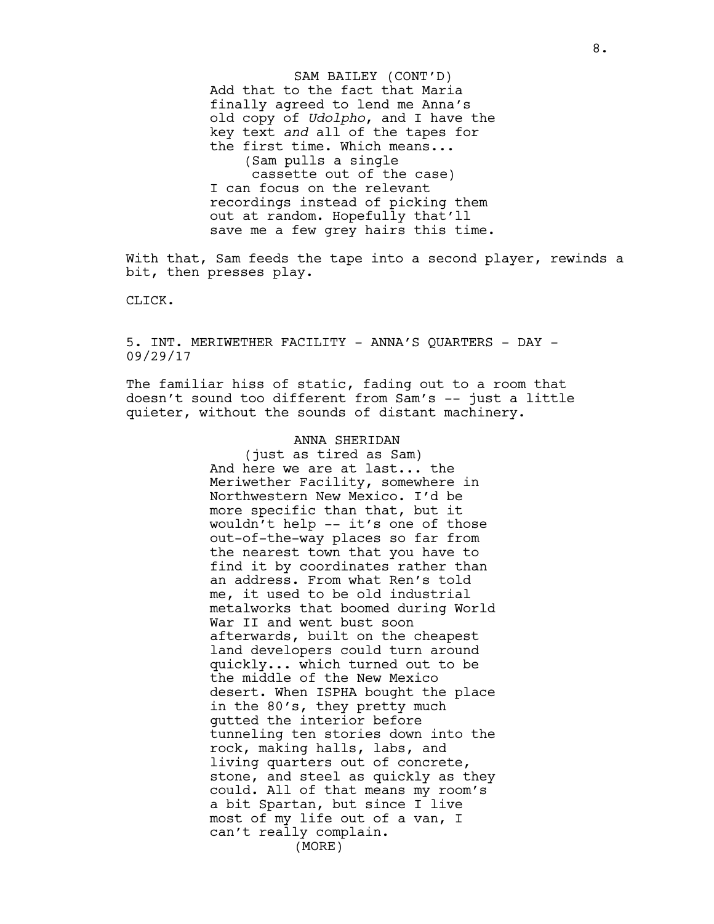Add that to the fact that Maria finally agreed to lend me Anna's old copy of *Udolpho*, and I have the key text *and* all of the tapes for the first time. Which means... (Sam pulls a single cassette out of the case) I can focus on the relevant recordings instead of picking them out at random. Hopefully that'll save me a few grey hairs this time. SAM BAILEY (CONT'D)

With that, Sam feeds the tape into a second player, rewinds a bit, then presses play.

CLICK.

5. INT. MERIWETHER FACILITY - ANNA'S QUARTERS - DAY -09/29/17

The familiar hiss of static, fading out to a room that doesn't sound too different from Sam's -- just a little quieter, without the sounds of distant machinery.

### ANNA SHERIDAN

(just as tired as Sam) And here we are at last... the Meriwether Facility, somewhere in Northwestern New Mexico. I'd be more specific than that, but it wouldn't help -- it's one of those out-of-the-way places so far from the nearest town that you have to find it by coordinates rather than an address. From what Ren's told me, it used to be old industrial metalworks that boomed during World War II and went bust soon afterwards, built on the cheapest land developers could turn around quickly... which turned out to be the middle of the New Mexico desert. When ISPHA bought the place in the 80's, they pretty much gutted the interior before tunneling ten stories down into the rock, making halls, labs, and living quarters out of concrete, stone, and steel as quickly as they could. All of that means my room's a bit Spartan, but since I live most of my life out of a van, I can't really complain. (MORE)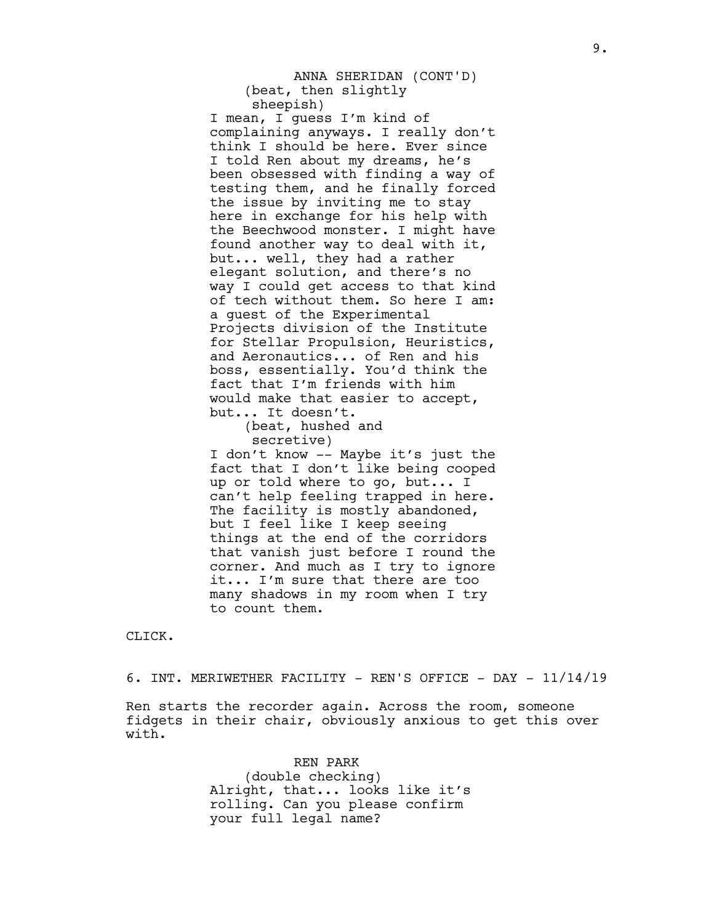# (beat, then slightly sheepish) ANNA SHERIDAN (CONT'D)

I mean, I guess I'm kind of complaining anyways. I really don't think I should be here. Ever since I told Ren about my dreams, he's been obsessed with finding a way of testing them, and he finally forced the issue by inviting me to stay here in exchange for his help with the Beechwood monster. I might have found another way to deal with it, but... well, they had a rather elegant solution, and there's no way I could get access to that kind of tech without them. So here I am: a guest of the Experimental Projects division of the Institute for Stellar Propulsion, Heuristics, and Aeronautics... of Ren and his boss, essentially. You'd think the fact that I'm friends with him would make that easier to accept, but... It doesn't.

> (beat, hushed and secretive)

I don't know -- Maybe it's just the fact that I don't like being cooped up or told where to go, but... I can't help feeling trapped in here. The facility is mostly abandoned, but I feel like I keep seeing things at the end of the corridors that vanish just before I round the corner. And much as I try to ignore it... I'm sure that there are too many shadows in my room when I try to count them.

CLICK.

6. INT. MERIWETHER FACILITY - REN'S OFFICE - DAY - 11/14/19

Ren starts the recorder again. Across the room, someone fidgets in their chair, obviously anxious to get this over with.

> REN PARK (double checking) Alright, that... looks like it's rolling. Can you please confirm your full legal name?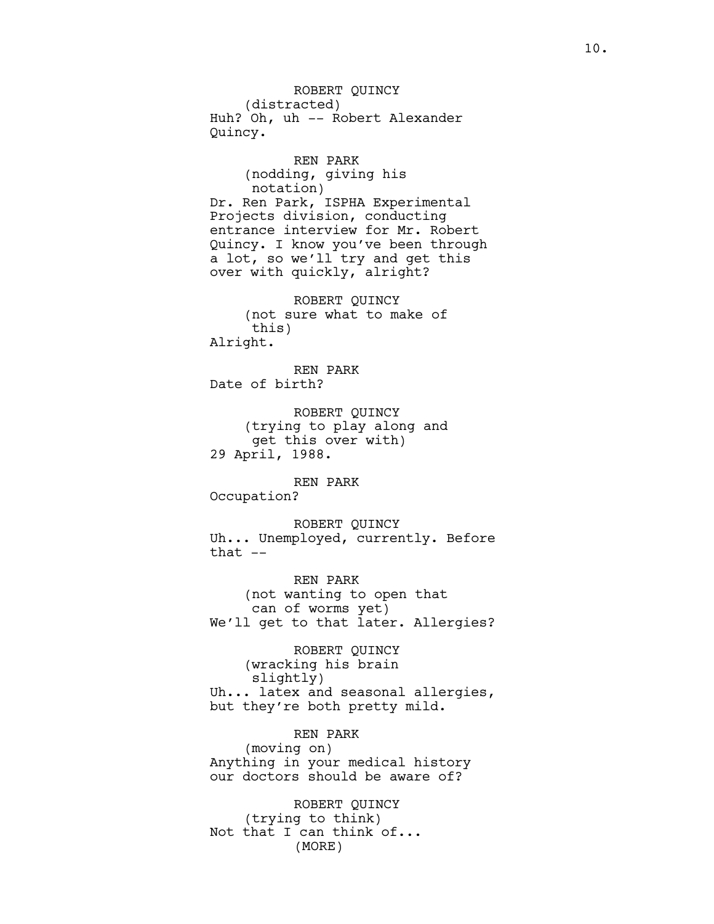ROBERT QUINCY (distracted) Huh? Oh, uh -- Robert Alexander Quincy. REN PARK (nodding, giving his notation) Dr. Ren Park, ISPHA Experimental Projects division, conducting entrance interview for Mr. Robert Quincy. I know you've been through a lot, so we'll try and get this over with quickly, alright? ROBERT QUINCY (not sure what to make of this) Alright. REN PARK Date of birth? ROBERT QUINCY (trying to play along and get this over with) 29 April, 1988. REN PARK Occupation? ROBERT QUINCY Uh... Unemployed, currently. Before that  $--$ REN PARK (not wanting to open that can of worms yet) We'll get to that later. Allergies? ROBERT QUINCY (wracking his brain slightly) Uh... latex and seasonal allergies, but they're both pretty mild. REN PARK (moving on) Anything in your medical history our doctors should be aware of? ROBERT QUINCY

(trying to think) Not that I can think of... (MORE)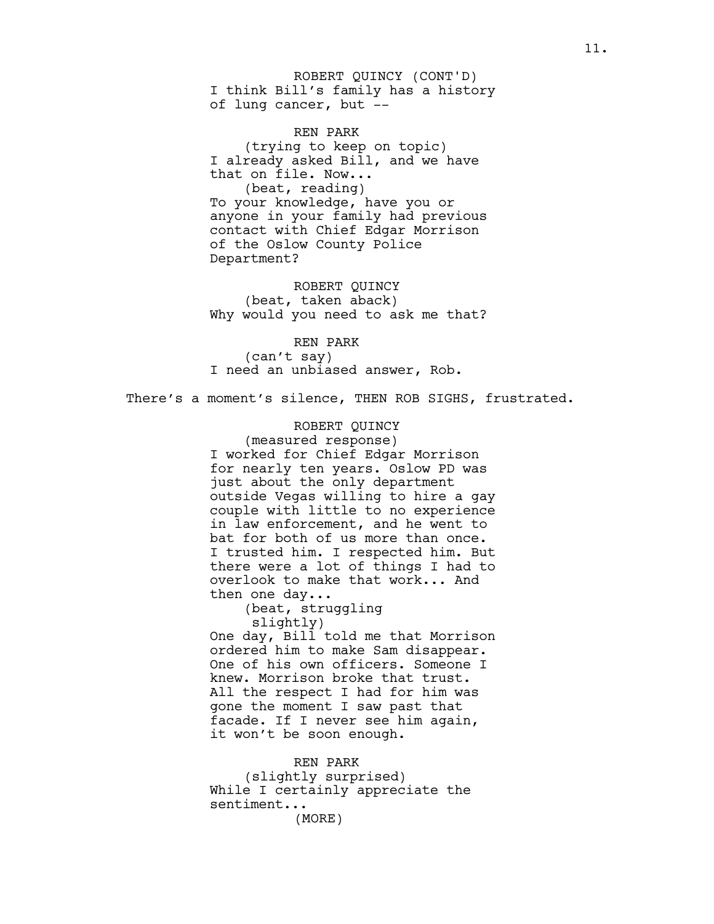I think Bill's family has a history of lung cancer, but -- ROBERT QUINCY (CONT'D)

REN PARK (trying to keep on topic) I already asked Bill, and we have that on file. Now... (beat, reading) To your knowledge, have you or anyone in your family had previous contact with Chief Edgar Morrison of the Oslow County Police Department?

ROBERT QUINCY (beat, taken aback) Why would you need to ask me that?

REN PARK

(can't say) I need an unbiased answer, Rob.

There's a moment's silence, THEN ROB SIGHS, frustrated.

ROBERT QUINCY

(measured response) I worked for Chief Edgar Morrison for nearly ten years. Oslow PD was just about the only department outside Vegas willing to hire a gay couple with little to no experience in law enforcement, and he went to bat for both of us more than once. I trusted him. I respected him. But there were a lot of things I had to overlook to make that work... And then one day...

(beat, struggling

slightly)

One day, Bill told me that Morrison ordered him to make Sam disappear. One of his own officers. Someone I knew. Morrison broke that trust. All the respect I had for him was gone the moment I saw past that facade. If I never see him again, it won't be soon enough.

REN PARK (slightly surprised) While I certainly appreciate the sentiment... (MORE)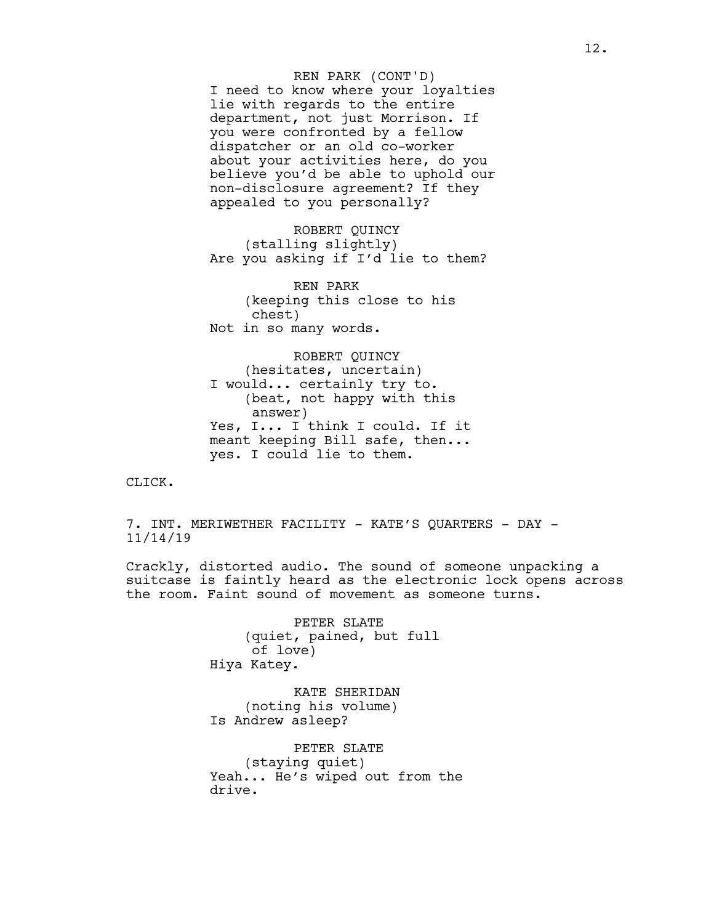I need to know where your loyalties lie with regards to the entire department, not just Morrison. If you were confronted by a fellow dispatcher or an old co-worker about your activities here, do you believe you'd be able to uphold our non-disclosure agreement? If they appealed to you personally?

ROBERT QUINCY (stalling slightly) Are you asking if I'd lie to them?

REN PARK (keeping this close to his chest) Not in so many words.

ROBERT QUINCY (hesitates, uncertain) I would... certainly try to. (beat, not happy with this answer) Yes, I... I think I could. If it meant keeping Bill safe, then... yes. I could lie to them.

CLICK.

7. INT. MERIWETHER FACILITY - KATE'S QUARTERS - DAY -11/14/19

Crackly, distorted audio. The sound of someone unpacking a suitcase is faintly heard as the electronic lock opens across the room. Faint sound of movement as someone turns.

> PETER SLATE (quiet, pained, but full of love) Hiya Katey.

KATE SHERIDAN (noting his volume) Is Andrew asleep?

PETER SLATE (staying quiet) Yeah... He's wiped out from the drive.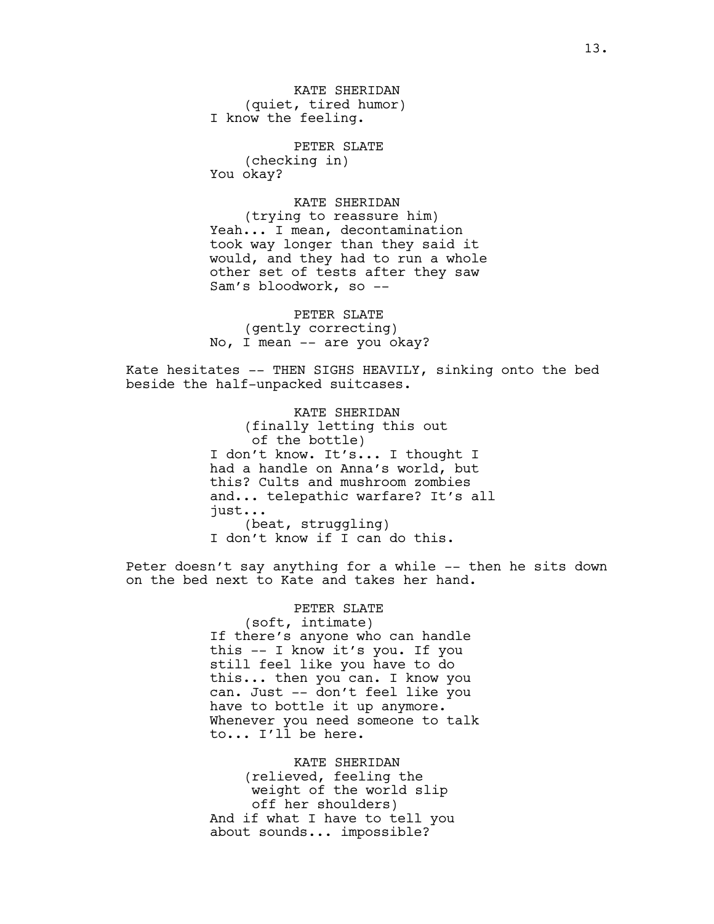KATE SHERIDAN (quiet, tired humor) I know the feeling.

PETER SLATE (checking in) You okay?

KATE SHERIDAN (trying to reassure him) Yeah... I mean, decontamination took way longer than they said it would, and they had to run a whole other set of tests after they saw Sam's bloodwork, so --

PETER SLATE (gently correcting) No, I mean -- are you okay?

Kate hesitates -- THEN SIGHS HEAVILY, sinking onto the bed beside the half-unpacked suitcases.

> KATE SHERIDAN (finally letting this out of the bottle) I don't know. It's... I thought I had a handle on Anna's world, but this? Cults and mushroom zombies and... telepathic warfare? It's all just... (beat, struggling) I don't know if I can do this.

Peter doesn't say anything for a while -- then he sits down on the bed next to Kate and takes her hand.

> PETER SLATE (soft, intimate) If there's anyone who can handle this -- I know it's you. If you still feel like you have to do this... then you can. I know you can. Just -- don't feel like you have to bottle it up anymore. Whenever you need someone to talk to... I'll be here.

KATE SHERIDAN (relieved, feeling the weight of the world slip off her shoulders) And if what I have to tell you about sounds... impossible?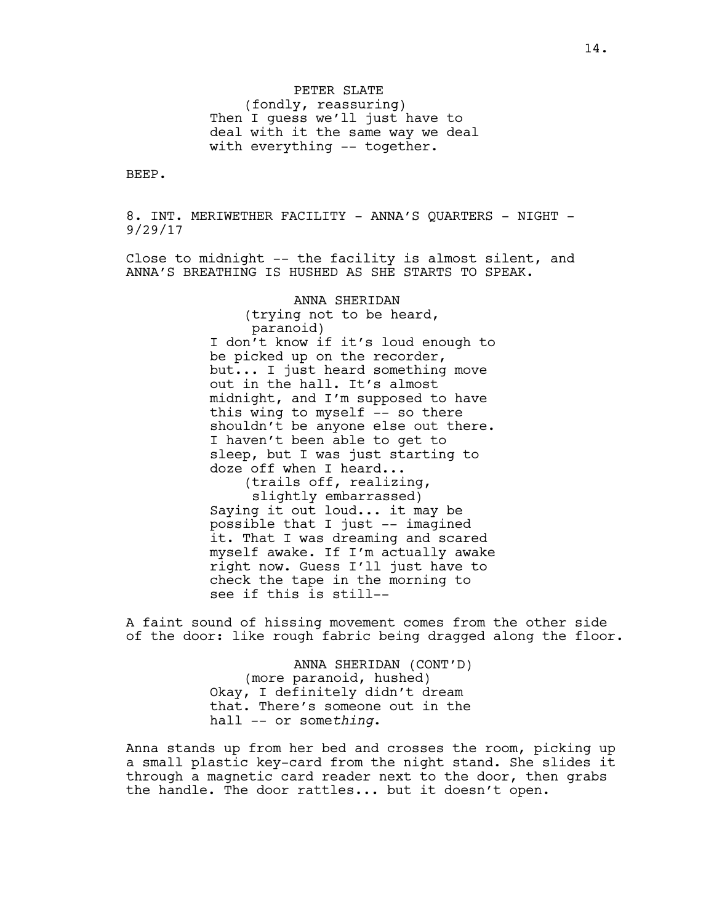PETER SLATE (fondly, reassuring) Then I guess we'll just have to deal with it the same way we deal with everything -- together.

BEEP.

8. INT. MERIWETHER FACILITY - ANNA'S QUARTERS - NIGHT -9/29/17

Close to midnight -- the facility is almost silent, and ANNA'S BREATHING IS HUSHED AS SHE STARTS TO SPEAK.

> ANNA SHERIDAN (trying not to be heard, paranoid) I don't know if it's loud enough to be picked up on the recorder, but... I just heard something move out in the hall. It's almost midnight, and I'm supposed to have this wing to myself -- so there shouldn't be anyone else out there. I haven't been able to get to sleep, but I was just starting to doze off when I heard... (trails off, realizing, slightly embarrassed) Saying it out loud... it may be possible that I just -- imagined it. That I was dreaming and scared myself awake. If I'm actually awake right now. Guess I'll just have to check the tape in the morning to see if this is still--

A faint sound of hissing movement comes from the other side of the door: like rough fabric being dragged along the floor.

> ANNA SHERIDAN (CONT'D) (more paranoid, hushed) Okay, I definitely didn't dream that. There's someone out in the hall -- or some*thing*.

Anna stands up from her bed and crosses the room, picking up a small plastic key-card from the night stand. She slides it through a magnetic card reader next to the door, then grabs the handle. The door rattles... but it doesn't open.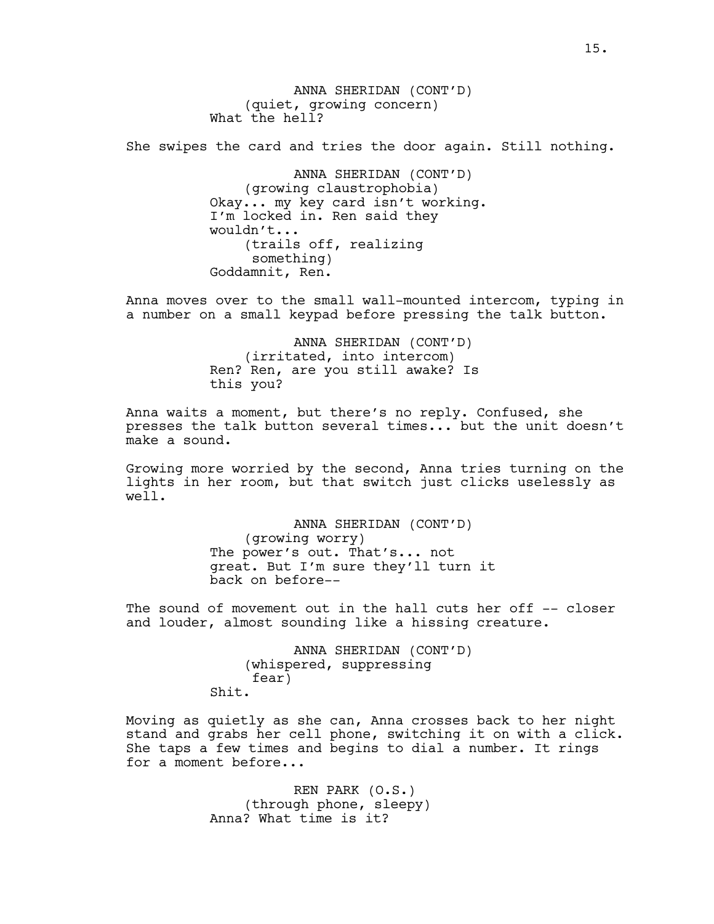ANNA SHERIDAN (CONT'D) (quiet, growing concern) What the hell?

She swipes the card and tries the door again. Still nothing.

ANNA SHERIDAN (CONT'D) (growing claustrophobia) Okay... my key card isn't working. I'm locked in. Ren said they wouldn't... (trails off, realizing something) Goddamnit, Ren.

Anna moves over to the small wall-mounted intercom, typing in a number on a small keypad before pressing the talk button.

> ANNA SHERIDAN (CONT'D) (irritated, into intercom) Ren? Ren, are you still awake? Is this you?

Anna waits a moment, but there's no reply. Confused, she presses the talk button several times... but the unit doesn't make a sound.

Growing more worried by the second, Anna tries turning on the lights in her room, but that switch just clicks uselessly as well.

> ANNA SHERIDAN (CONT'D) (growing worry) The power's out. That's... not great. But I'm sure they'll turn it back on before--

The sound of movement out in the hall cuts her off -- closer and louder, almost sounding like a hissing creature.

> ANNA SHERIDAN (CONT'D) (whispered, suppressing fear) Shit.

Moving as quietly as she can, Anna crosses back to her night stand and grabs her cell phone, switching it on with a click. She taps a few times and begins to dial a number. It rings for a moment before...

> REN PARK (O.S.) (through phone, sleepy) Anna? What time is it?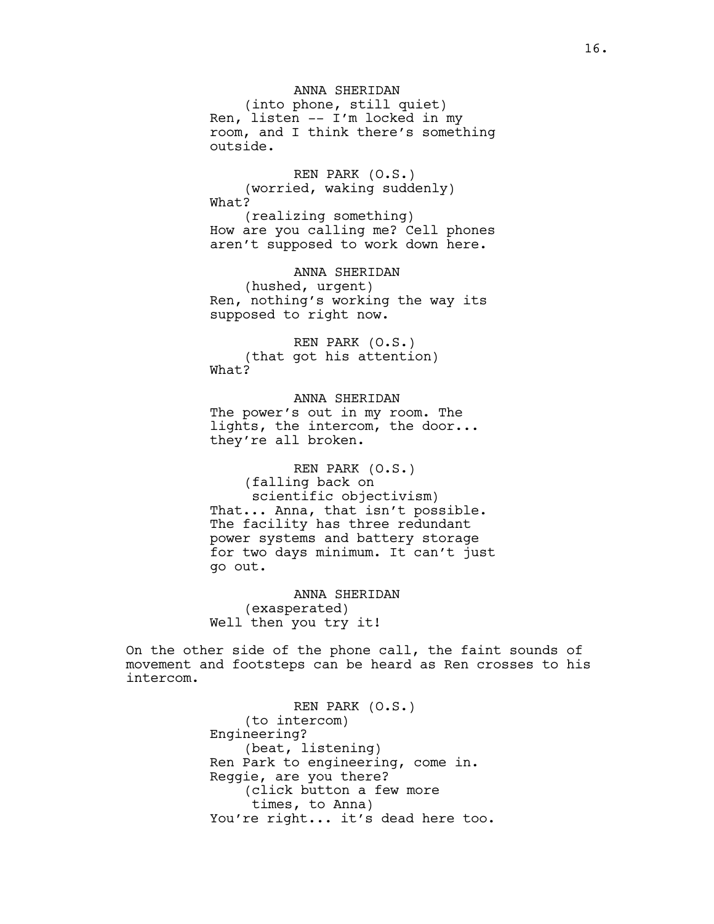ANNA SHERIDAN (into phone, still quiet) Ren, listen -- I'm locked in my room, and I think there's something outside.

REN PARK (O.S.) (worried, waking suddenly) What? (realizing something) How are you calling me? Cell phones aren't supposed to work down here.

ANNA SHERIDAN (hushed, urgent) Ren, nothing's working the way its supposed to right now.

REN PARK (O.S.) (that got his attention) What?

ANNA SHERIDAN The power's out in my room. The lights, the intercom, the door... they're all broken.

REN PARK (O.S.) (falling back on scientific objectivism) That... Anna, that isn't possible. The facility has three redundant power systems and battery storage for two days minimum. It can't just go out.

ANNA SHERIDAN (exasperated) Well then you try it!

On the other side of the phone call, the faint sounds of movement and footsteps can be heard as Ren crosses to his intercom.

> REN PARK (O.S.) (to intercom) Engineering? (beat, listening) Ren Park to engineering, come in. Reggie, are you there? (click button a few more times, to Anna) You're right... it's dead here too.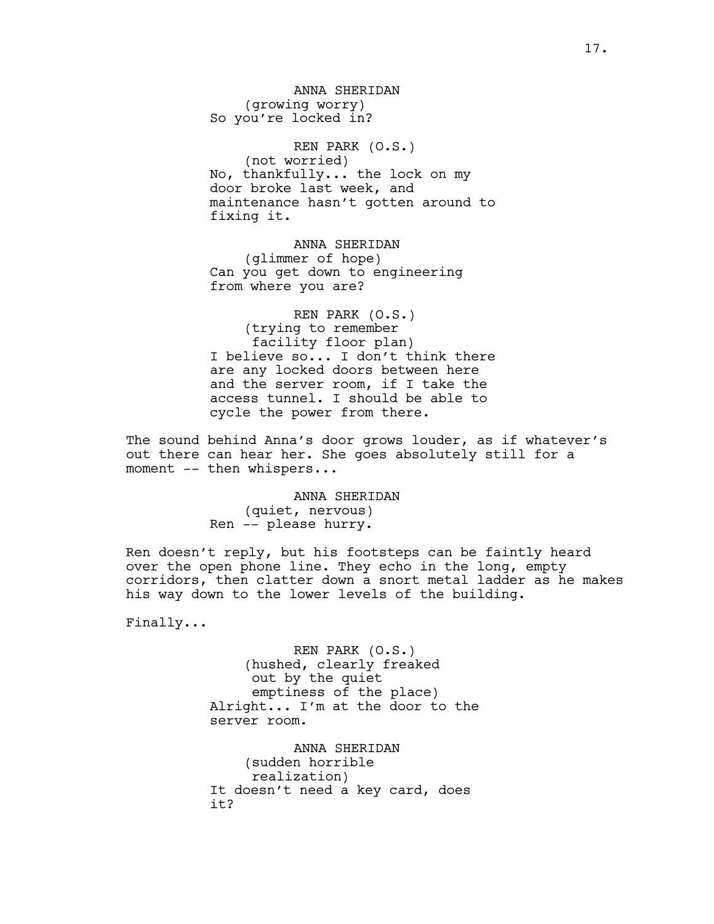ANNA SHERIDAN (growing worry) So you're locked in?

REN PARK (O.S.) (not worried) No, thankfully... the lock on my door broke last week, and maintenance hasn't gotten around to fixing it.

ANNA SHERIDAN (glimmer of hope) Can you get down to engineering from where you are?

REN PARK (O.S.) (trying to remember facility floor plan) I believe so... I don't think there are any locked doors between here and the server room, if I take the access tunnel. I should be able to cycle the power from there.

The sound behind Anna's door grows louder, as if whatever's out there can hear her. She goes absolutely still for a moment -- then whispers...

> ANNA SHERIDAN (quiet, nervous) Ren -- please hurry.

Ren doesn't reply, but his footsteps can be faintly heard over the open phone line. They echo in the long, empty corridors, then clatter down a snort metal ladder as he makes his way down to the lower levels of the building.

Finally...

REN PARK (O.S.) (hushed, clearly freaked out by the quiet emptiness of the place) Alright... I'm at the door to the server room.

ANNA SHERIDAN (sudden horrible realization) It doesn't need a key card, does it?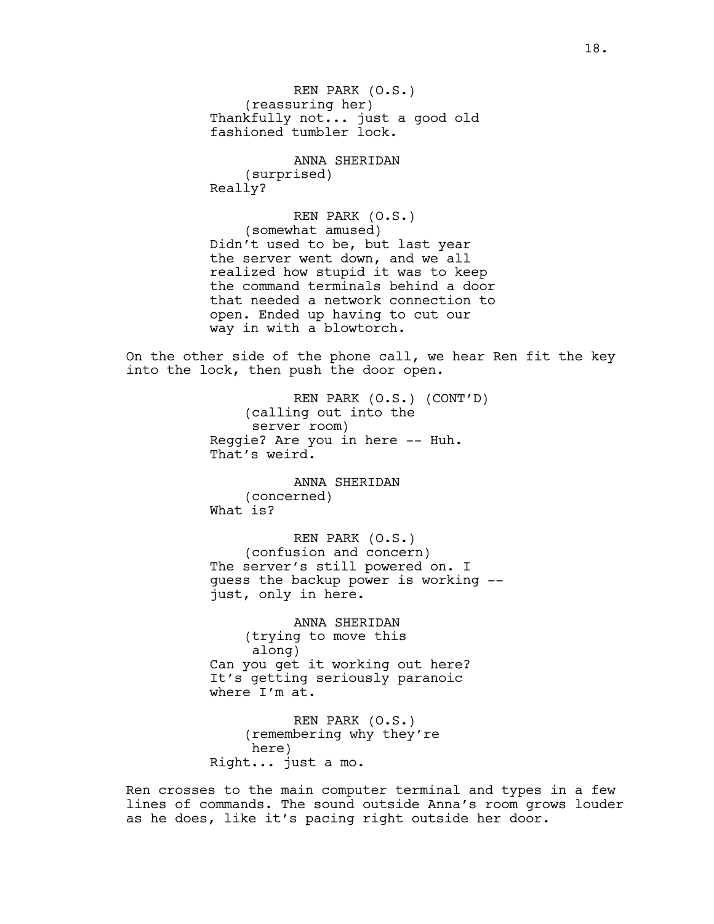REN PARK (O.S.) (reassuring her) Thankfully not... just a good old fashioned tumbler lock. ANNA SHERIDAN (surprised) Really? REN PARK (O.S.) (somewhat amused) Didn't used to be, but last year the server went down, and we all realized how stupid it was to keep the command terminals behind a door that needed a network connection to open. Ended up having to cut our way in with a blowtorch.

On the other side of the phone call, we hear Ren fit the key into the lock, then push the door open.

> REN PARK (O.S.) (CONT'D) (calling out into the server room) Reggie? Are you in here -- Huh. That's weird.

ANNA SHERIDAN (concerned) What is?

REN PARK (O.S.) (confusion and concern) The server's still powered on. I guess the backup power is working - just, only in here.

ANNA SHERIDAN (trying to move this along) Can you get it working out here? It's getting seriously paranoic where I'm at.

REN PARK (O.S.) (remembering why they're here) Right... just a mo.

Ren crosses to the main computer terminal and types in a few lines of commands. The sound outside Anna's room grows louder as he does, like it's pacing right outside her door.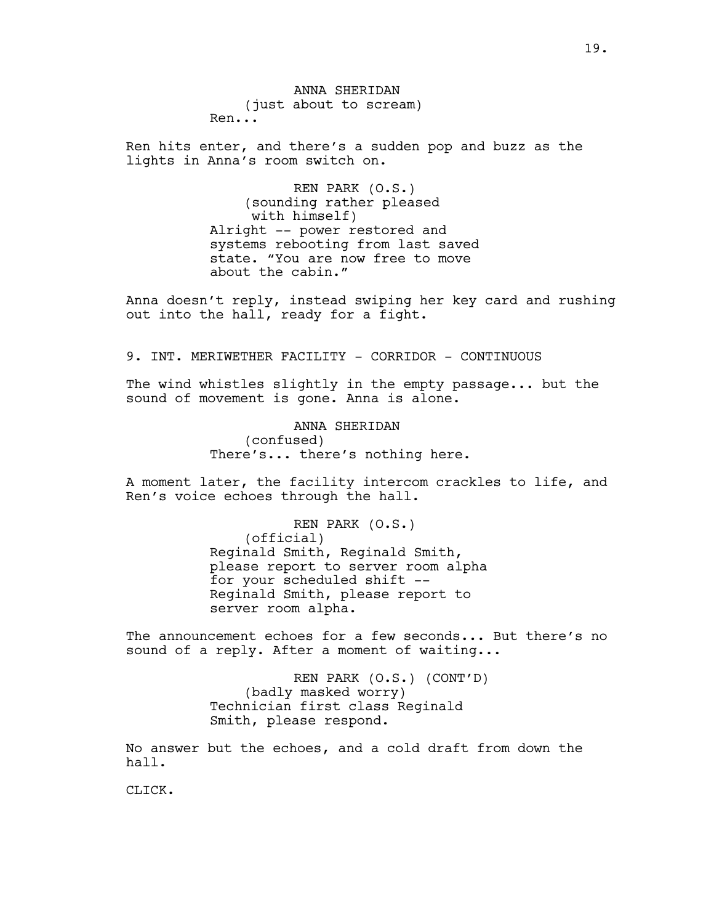ANNA SHERIDAN (just about to scream) Ren...

Ren hits enter, and there's a sudden pop and buzz as the lights in Anna's room switch on.

> REN PARK (O.S.) (sounding rather pleased with himself) Alright -- power restored and systems rebooting from last saved state. "You are now free to move about the cabin."

Anna doesn't reply, instead swiping her key card and rushing out into the hall, ready for a fight.

9. INT. MERIWETHER FACILITY - CORRIDOR - CONTINUOUS

The wind whistles slightly in the empty passage... but the sound of movement is gone. Anna is alone.

> ANNA SHERIDAN (confused) There's... there's nothing here.

A moment later, the facility intercom crackles to life, and Ren's voice echoes through the hall.

> REN PARK (O.S.) (official) Reginald Smith, Reginald Smith, please report to server room alpha for your scheduled shift -- Reginald Smith, please report to server room alpha.

The announcement echoes for a few seconds... But there's no sound of a reply. After a moment of waiting...

> REN PARK (O.S.) (CONT'D) (badly masked worry) Technician first class Reginald Smith, please respond.

No answer but the echoes, and a cold draft from down the hall.

CLICK.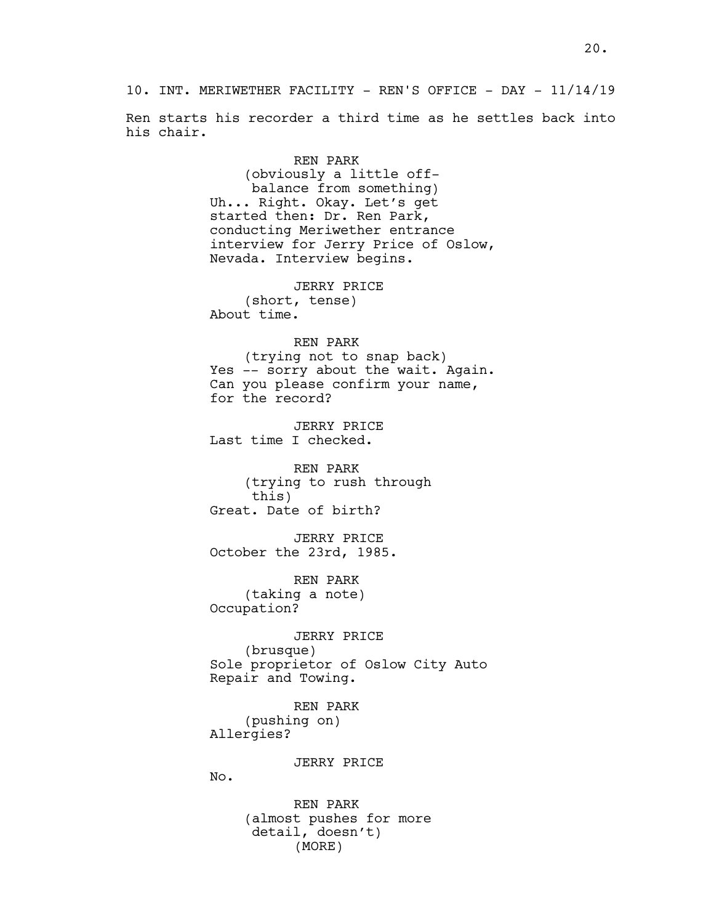Ren starts his recorder a third time as he settles back into his chair.

> REN PARK (obviously a little offbalance from something) Uh... Right. Okay. Let's get started then: Dr. Ren Park, conducting Meriwether entrance interview for Jerry Price of Oslow, Nevada. Interview begins.

JERRY PRICE (short, tense) About time.

REN PARK

(trying not to snap back) Yes -- sorry about the wait. Again. Can you please confirm your name, for the record?

JERRY PRICE Last time I checked.

REN PARK (trying to rush through this) Great. Date of birth?

JERRY PRICE October the 23rd, 1985.

REN PARK (taking a note) Occupation?

JERRY PRICE (brusque) Sole proprietor of Oslow City Auto Repair and Towing.

REN PARK (pushing on) Allergies?

JERRY PRICE

No.

REN PARK (almost pushes for more detail, doesn't) (MORE)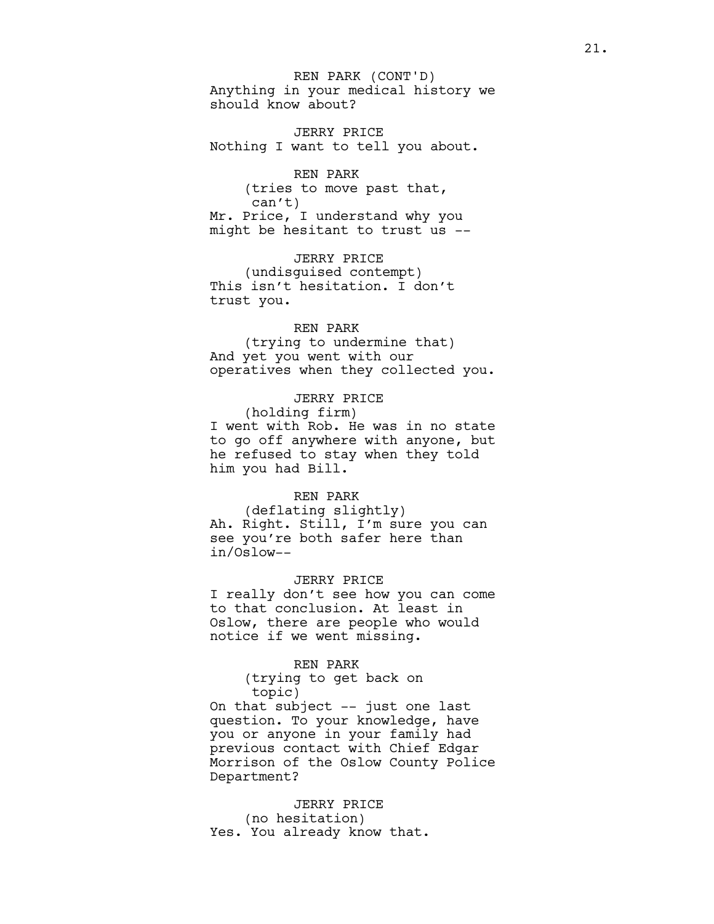Anything in your medical history we should know about? REN PARK (CONT'D)

JERRY PRICE Nothing I want to tell you about.

# REN PARK (tries to move past that, can't) Mr. Price, I understand why you might be hesitant to trust us --

JERRY PRICE (undisguised contempt) This isn't hesitation. I don't trust you.

## REN PARK

(trying to undermine that) And yet you went with our operatives when they collected you.

# JERRY PRICE

(holding firm) I went with Rob. He was in no state to go off anywhere with anyone, but he refused to stay when they told him you had Bill.

## REN PARK

(deflating slightly) Ah. Right. Still, I'm sure you can see you're both safer here than in/Oslow--

## JERRY PRICE

I really don't see how you can come to that conclusion. At least in Oslow, there are people who would notice if we went missing.

### REN PARK

(trying to get back on topic)

On that subject -- just one last question. To your knowledge, have you or anyone in your family had previous contact with Chief Edgar Morrison of the Oslow County Police Department?

### JERRY PRICE

(no hesitation) Yes. You already know that.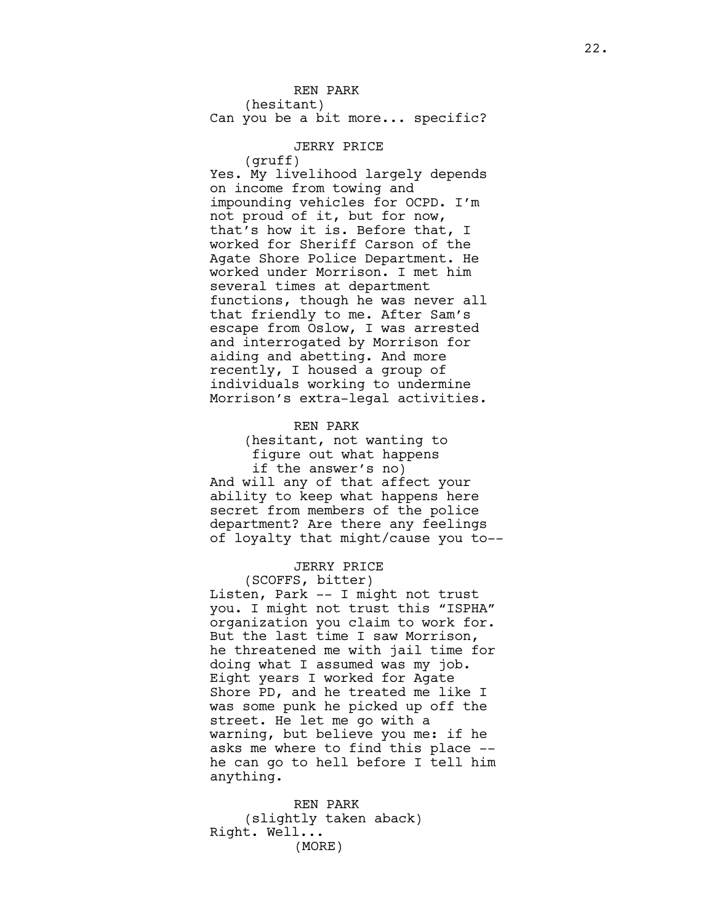REN PARK (hesitant) Can you be a bit more... specific?

### JERRY PRICE

(gruff)

Yes. My livelihood largely depends on income from towing and impounding vehicles for OCPD. I'm not proud of it, but for now, that's how it is. Before that, I worked for Sheriff Carson of the Agate Shore Police Department. He worked under Morrison. I met him several times at department functions, though he was never all that friendly to me. After Sam's escape from Oslow, I was arrested and interrogated by Morrison for aiding and abetting. And more recently, I housed a group of individuals working to undermine Morrison's extra-legal activities.

### REN PARK

(hesitant, not wanting to figure out what happens if the answer's no) And will any of that affect your ability to keep what happens here secret from members of the police department? Are there any feelings of loyalty that might/cause you to--

### JERRY PRICE

(SCOFFS, bitter) Listen, Park -- I might not trust you. I might not trust this "ISPHA" organization you claim to work for. But the last time I saw Morrison, he threatened me with jail time for doing what I assumed was my job. Eight years I worked for Agate Shore PD, and he treated me like I was some punk he picked up off the street. He let me go with a warning, but believe you me: if he asks me where to find this place - he can go to hell before I tell him anything.

REN PARK (slightly taken aback) Right. Well... (MORE)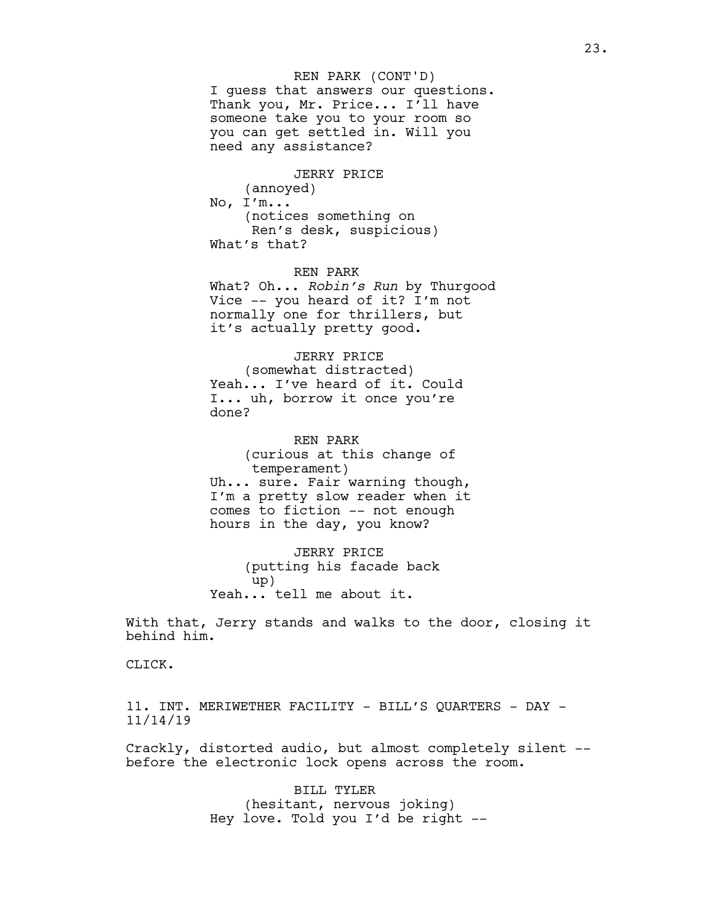I guess that answers our questions. Thank you, Mr. Price... I'll have someone take you to your room so you can get settled in. Will you need any assistance? REN PARK (CONT'D)

JERRY PRICE (annoyed) No, I'm... (notices something on Ren's desk, suspicious) What's that?

REN PARK What? Oh... *Robin's Run* by Thurgood Vice -- you heard of it? I'm not

normally one for thrillers, but it's actually pretty good.

JERRY PRICE (somewhat distracted) Yeah... I've heard of it. Could I... uh, borrow it once you're done?

REN PARK (curious at this change of temperament) Uh... sure. Fair warning though, I'm a pretty slow reader when it comes to fiction -- not enough hours in the day, you know?

JERRY PRICE (putting his facade back up) Yeah... tell me about it.

With that, Jerry stands and walks to the door, closing it behind him.

CLICK.

11. INT. MERIWETHER FACILITY - BILL'S QUARTERS - DAY - 11/14/19

Crackly, distorted audio, but almost completely silent - before the electronic lock opens across the room.

> BILL TYLER (hesitant, nervous joking) Hey love. Told you I'd be right --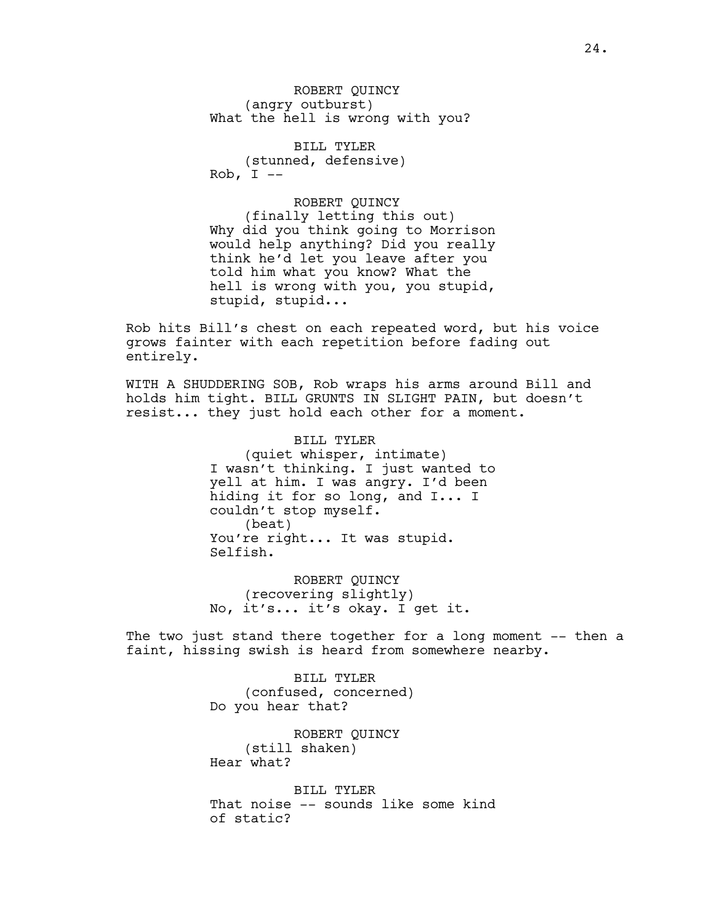ROBERT QUINCY (angry outburst) What the hell is wrong with you?

BILL TYLER (stunned, defensive) Rob,  $I$  --

ROBERT QUINCY

(finally letting this out) Why did you think going to Morrison would help anything? Did you really think he'd let you leave after you told him what you know? What the hell is wrong with you, you stupid, stupid, stupid...

Rob hits Bill's chest on each repeated word, but his voice grows fainter with each repetition before fading out entirely.

WITH A SHUDDERING SOB, Rob wraps his arms around Bill and holds him tight. BILL GRUNTS IN SLIGHT PAIN, but doesn't resist... they just hold each other for a moment.

> BILL TYLER (quiet whisper, intimate) I wasn't thinking. I just wanted to yell at him. I was angry. I'd been hiding it for so long, and I... I couldn't stop myself. (beat) You're right... It was stupid. Selfish.

ROBERT QUINCY (recovering slightly) No, it's... it's okay. I get it.

The two just stand there together for a long moment -- then a faint, hissing swish is heard from somewhere nearby.

> BILL TYLER (confused, concerned) Do you hear that?

ROBERT QUINCY (still shaken) Hear what?

BILL TYLER That noise -- sounds like some kind of static?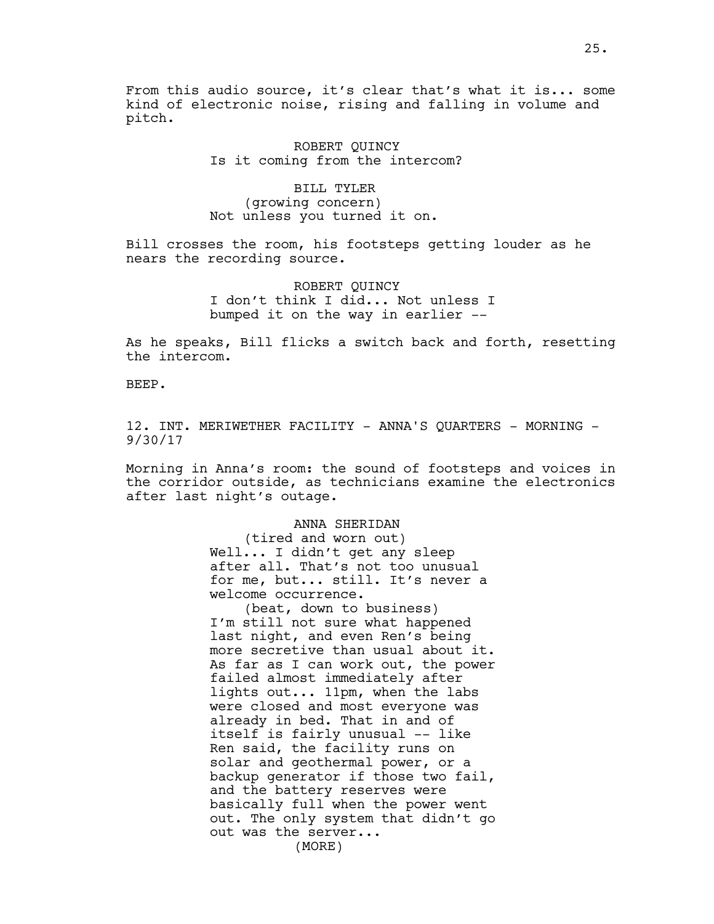From this audio source, it's clear that's what it is... some kind of electronic noise, rising and falling in volume and pitch.

> ROBERT QUINCY Is it coming from the intercom?

BILL TYLER (growing concern) Not unless you turned it on.

Bill crosses the room, his footsteps getting louder as he nears the recording source.

> ROBERT QUINCY I don't think I did... Not unless I bumped it on the way in earlier --

As he speaks, Bill flicks a switch back and forth, resetting the intercom.

BEEP.

12. INT. MERIWETHER FACILITY - ANNA'S QUARTERS - MORNING -9/30/17

Morning in Anna's room: the sound of footsteps and voices in the corridor outside, as technicians examine the electronics after last night's outage.

> ANNA SHERIDAN (tired and worn out) Well... I didn't get any sleep after all. That's not too unusual for me, but... still. It's never a welcome occurrence.

(beat, down to business) I'm still not sure what happened last night, and even Ren's being more secretive than usual about it. As far as I can work out, the power failed almost immediately after lights out... 11pm, when the labs were closed and most everyone was already in bed. That in and of itself is fairly unusual -- like Ren said, the facility runs on solar and geothermal power, or a backup generator if those two fail, and the battery reserves were basically full when the power went out. The only system that didn't go out was the server... (MORE)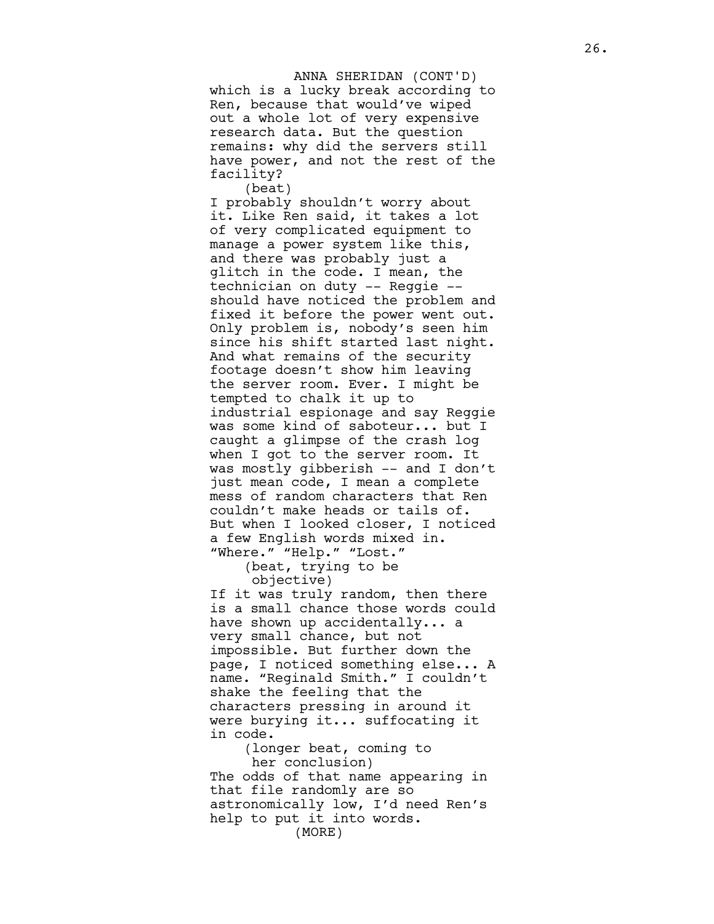which is a lucky break according to Ren, because that would've wiped out a whole lot of very expensive research data. But the question remains: why did the servers still have power, and not the rest of the facility? ANNA SHERIDAN (CONT'D)

(beat)

I probably shouldn't worry about it. Like Ren said, it takes a lot of very complicated equipment to manage a power system like this, and there was probably just a glitch in the code. I mean, the technician on duty -- Reggie -should have noticed the problem and fixed it before the power went out. Only problem is, nobody's seen him since his shift started last night. And what remains of the security footage doesn't show him leaving the server room. Ever. I might be tempted to chalk it up to industrial espionage and say Reggie was some kind of saboteur... but I caught a glimpse of the crash log when I got to the server room. It was mostly gibberish -- and I don't just mean code, I mean a complete mess of random characters that Ren couldn't make heads or tails of. But when I looked closer, I noticed a few English words mixed in. "Where." "Help." "Lost."

(beat, trying to be objective)

If it was truly random, then there is a small chance those words could have shown up accidentally... a very small chance, but not impossible. But further down the page, I noticed something else... A name. "Reginald Smith." I couldn't shake the feeling that the characters pressing in around it were burying it... suffocating it in code.

(longer beat, coming to her conclusion) The odds of that name appearing in that file randomly are so astronomically low, I'd need Ren's help to put it into words. (MORE)